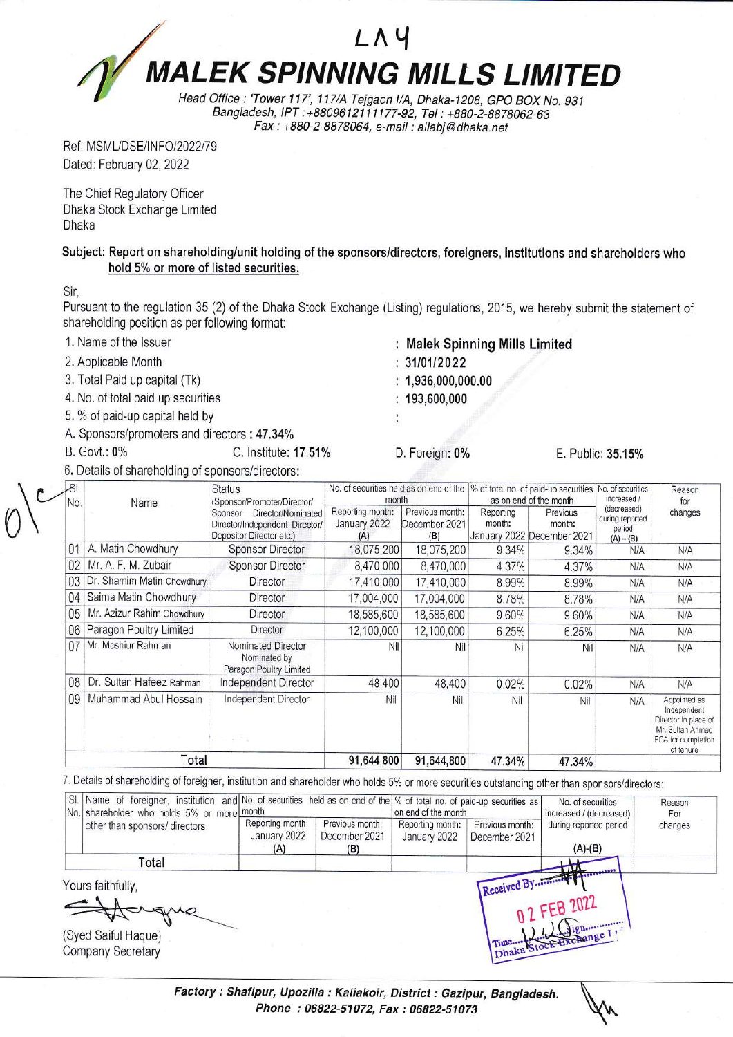## LAY **MALEK SPINNING MILLS LIMITED**

Head Office : 'Tower 117', 117/A Tejgaon I/A, Dhaka-1208, GPO BOX No. 931 Bangladesh, IPT: +8809612111177-92, Tel: +880-2-8878062-63 Fax: +880-2-8878064, e-mail: allabj@dhaka.net

Ref: MSML/DSE/INFO/2022/79 Dated: February 02, 2022

The Chief Regulatory Officer Dhaka Stock Exchange Limited Dhaka

Subject: Report on shareholding/unit holding of the sponsors/directors, foreigners, institutions and shareholders who hold 5% or more of listed securities.

Sir.

Pursuant to the regulation 35 (2) of the Dhaka Stock Exchange (Listing) regulations, 2015, we hereby submit the statement of shareholding position as per following format:

1. Name of the Issuer

- 2. Applicable Month
- 3. Total Paid up capital (Tk)
- 4. No. of total paid up securities
- 5. % of paid-up capital held by
- A. Sponsors/promoters and directors: 47.34%
- **B.** Govt.: 0%
- C. Institute: 17.51%
- 6. Details of shareholding of sponsors/directors:

| 181<br>No. | Name                       | <b>Status</b><br>(Sponsor/Promoter/Director/<br>Director/Nominated<br>Sponsor<br>Director/Independent Director/<br>Depositor Director etc.) | No. of securities held as on end of the<br>month |                                         | % of total no. of paid-up securities<br>as on end of the month |                                                  | No. of securities<br>increased /                        | Reason<br>for                                                                                              |
|------------|----------------------------|---------------------------------------------------------------------------------------------------------------------------------------------|--------------------------------------------------|-----------------------------------------|----------------------------------------------------------------|--------------------------------------------------|---------------------------------------------------------|------------------------------------------------------------------------------------------------------------|
|            |                            |                                                                                                                                             | Reporting month:<br>January 2022<br>(A)          | Previous month:<br>December 2021<br>(B) | Reporting<br>month:                                            | Previous<br>month:<br>January 2022 December 2021 | (decreased)<br>during reported<br>period<br>$(A) - (B)$ | changes                                                                                                    |
| 01         | A. Matin Chowdhury         | <b>Sponsor Director</b>                                                                                                                     | 18,075,200                                       | 18,075,200                              | 9.34%                                                          | 9.34%                                            | N/A                                                     | N/A                                                                                                        |
| 02         | Mr. A. F. M. Zubair        | <b>Sponsor Director</b>                                                                                                                     | 8,470,000                                        | 8,470,000                               | 4.37%                                                          | 4.37%                                            | N/A                                                     | N/A                                                                                                        |
| 03         | Dr. Shamim Matin Chowdhury | Director                                                                                                                                    | 17,410,000                                       | 17,410,000                              | 8.99%                                                          | 8.99%                                            | N/A                                                     | N/A                                                                                                        |
| 04         | Saima Matin Chowdhury      | Director                                                                                                                                    | 17,004,000                                       | 17,004,000                              | 8.78%                                                          | 8.78%                                            | N/A                                                     | <b>N/A</b>                                                                                                 |
| 05         | Mr. Azizur Rahim Chowdhury | Director                                                                                                                                    | 18,585,600                                       | 18,585,600                              | 9.60%                                                          | 9.60%                                            | N/A                                                     | N/A                                                                                                        |
| 06         | Paragon Poultry Limited    | <b>Director</b>                                                                                                                             | 12,100,000                                       | 12,100,000                              | 6.25%                                                          | 6.25%                                            | N/A                                                     | <b>N/A</b>                                                                                                 |
| 07         | Mr. Moshiur Rahman         | Nominated Director<br>Nominated by<br>Paragon Poultry Limited                                                                               | Nil                                              | Nil                                     | Nil                                                            | Nil                                              | N/A                                                     | N/A                                                                                                        |
| 08         | Dr. Sultan Hafeez Rahman   | Independent Director                                                                                                                        | 48,400                                           | 48,400                                  | 0.02%                                                          | 0.02%                                            | N/A                                                     | <b>N/A</b>                                                                                                 |
| 09         | Muhammad Abul Hossain      | Independent Director<br>the project                                                                                                         | Nil                                              | Nil                                     | Nil                                                            | Nil                                              | N/A                                                     | Appointed as<br>Independent<br>Director in place of<br>Mr. Sultan Ahmed<br>FCA for completion<br>of tenure |
| Total      |                            |                                                                                                                                             | 91,644,800                                       | 91,644,800                              | 47.34%                                                         | 47.34%                                           |                                                         |                                                                                                            |

7. Details of shareholding of foreigner, institution and shareholder who holds 5% or more securities outstanding other than sponsors/directors:

| No. shareholder who holds 5% or more month                           | SI. Name of foreigner, institution and No. of securities held as on end of the % of total no. of paid-up securities as |                                         | on end of the month              |                                  | No. of securities<br>increased / (decreased) | Reason<br>For |
|----------------------------------------------------------------------|------------------------------------------------------------------------------------------------------------------------|-----------------------------------------|----------------------------------|----------------------------------|----------------------------------------------|---------------|
| other than sponsors/ directors                                       | Reporting month:<br>January 2022<br>(A)                                                                                | Previous month:<br>December 2021<br>(B) | Reporting month:<br>January 2022 | Previous month:<br>December 2021 | during reported period<br>$(A)-(B)$          | changes       |
| Total                                                                |                                                                                                                        |                                         |                                  |                                  |                                              |               |
| Yours faithfully,<br>AMP<br>(Syed Saiful Haque)<br>Company Secretary |                                                                                                                        |                                         |                                  |                                  | 0 2 FEB 2022                                 |               |

Factory: Shafipur, Upozilla: Kaliakoir, District: Gazipur, Bangladesh. Phone: 06822-51072, Fax: 06822-51073

- $: 1,936,000,000.00$ 
	- $: 193,600,000$

 $: 31/01/2022$ 

: Malek Spinning Mills Limited

 $\ddot{\cdot}$ 

D. Foreign: 0%

E. Public: 35.15%